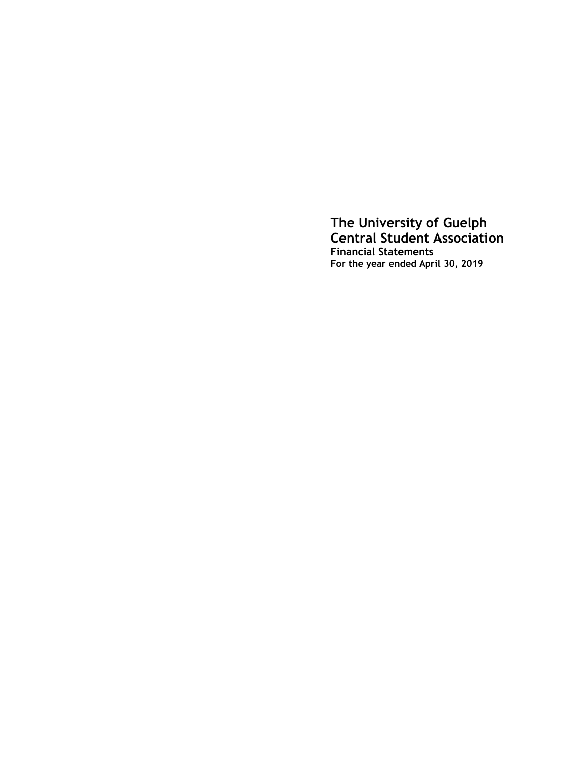**The University of Guelph Central Student Association Financial Statements For the year ended April 30, 2019**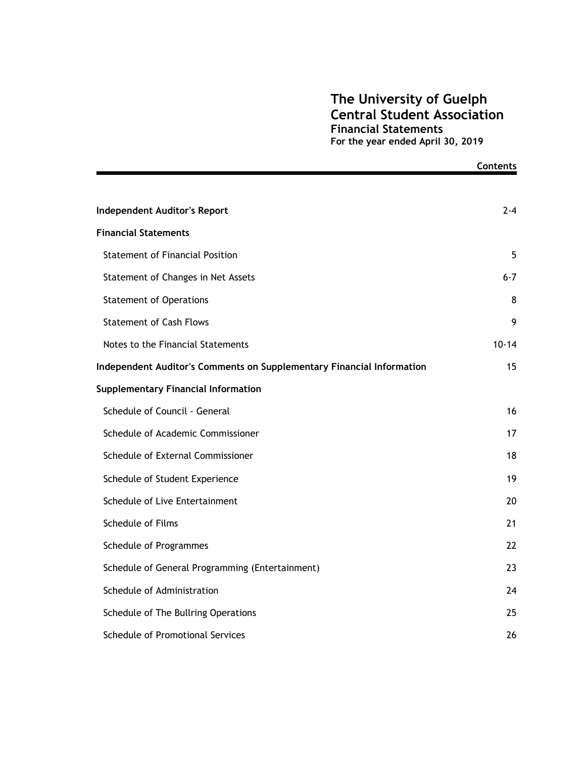### **The University of Guelph Central Student Association Financial Statements For the year ended April 30, 2019**

**Contents**

|                                                                       | בטוונפוונ |
|-----------------------------------------------------------------------|-----------|
|                                                                       |           |
| <b>Independent Auditor's Report</b>                                   | $2 - 4$   |
| <b>Financial Statements</b>                                           |           |
| <b>Statement of Financial Position</b>                                | 5         |
| Statement of Changes in Net Assets                                    | $6 - 7$   |
| <b>Statement of Operations</b>                                        | 8         |
| <b>Statement of Cash Flows</b>                                        | 9         |
| Notes to the Financial Statements                                     | $10 - 14$ |
| Independent Auditor's Comments on Supplementary Financial Information | 15        |
| <b>Supplementary Financial Information</b>                            |           |
| Schedule of Council - General                                         | 16        |
| Schedule of Academic Commissioner                                     | 17        |
| Schedule of External Commissioner                                     | 18        |
| Schedule of Student Experience                                        | 19        |
| Schedule of Live Entertainment                                        | 20        |
| Schedule of Films                                                     | 21        |
| Schedule of Programmes                                                | 22        |
| Schedule of General Programming (Entertainment)                       | 23        |
| Schedule of Administration                                            | 24        |
| Schedule of The Bullring Operations                                   | 25        |
| Schedule of Promotional Services                                      | 26        |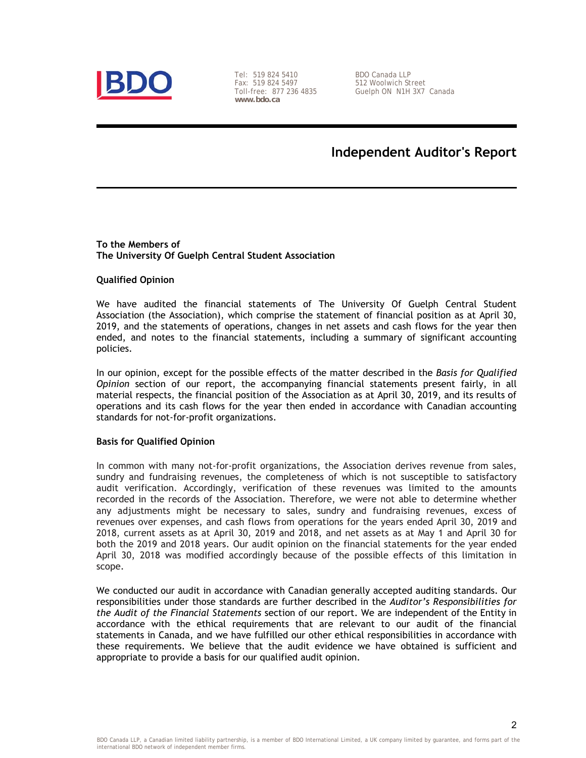

Tel: 519 824 5410 Fax: 519 824 5497 Toll-free: 877 236 4835 **www.bdo.ca** 

BDO Canada LLP 512 Woolwich Street Guelph ON N1H 3X7 Canada

## **Independent Auditor's Report**

#### **To the Members of The University Of Guelph Central Student Association**

#### **Qualified Opinion**

We have audited the financial statements of The University Of Guelph Central Student Association (the Association), which comprise the statement of financial position as at April 30, 2019, and the statements of operations, changes in net assets and cash flows for the year then ended, and notes to the financial statements, including a summary of significant accounting policies.

In our opinion, except for the possible effects of the matter described in the *Basis for Qualified Opinion* section of our report, the accompanying financial statements present fairly, in all material respects, the financial position of the Association as at April 30, 2019, and its results of operations and its cash flows for the year then ended in accordance with Canadian accounting standards for not-for-profit organizations.

#### **Basis for Qualified Opinion**

In common with many not-for-profit organizations, the Association derives revenue from sales, sundry and fundraising revenues, the completeness of which is not susceptible to satisfactory audit verification. Accordingly, verification of these revenues was limited to the amounts recorded in the records of the Association. Therefore, we were not able to determine whether any adjustments might be necessary to sales, sundry and fundraising revenues, excess of revenues over expenses, and cash flows from operations for the years ended April 30, 2019 and 2018, current assets as at April 30, 2019 and 2018, and net assets as at May 1 and April 30 for both the 2019 and 2018 years. Our audit opinion on the financial statements for the year ended April 30, 2018 was modified accordingly because of the possible effects of this limitation in scope.

We conducted our audit in accordance with Canadian generally accepted auditing standards. Our responsibilities under those standards are further described in the *Auditor's Responsibilities for the Audit of the Financial Statements* section of our report. We are independent of the Entity in accordance with the ethical requirements that are relevant to our audit of the financial statements in Canada, and we have fulfilled our other ethical responsibilities in accordance with these requirements. We believe that the audit evidence we have obtained is sufficient and appropriate to provide a basis for our qualified audit opinion.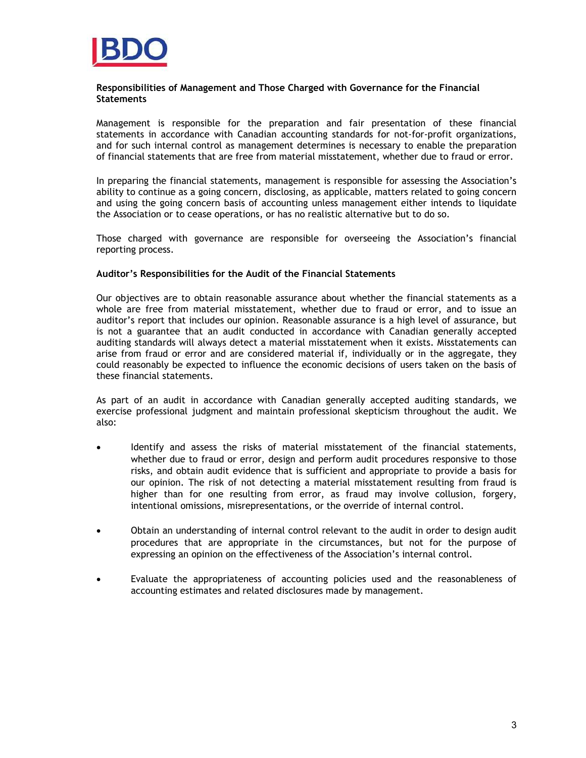

#### **Responsibilities of Management and Those Charged with Governance for the Financial Statements**

Management is responsible for the preparation and fair presentation of these financial statements in accordance with Canadian accounting standards for not-for-profit organizations, and for such internal control as management determines is necessary to enable the preparation of financial statements that are free from material misstatement, whether due to fraud or error.

In preparing the financial statements, management is responsible for assessing the Association's ability to continue as a going concern, disclosing, as applicable, matters related to going concern and using the going concern basis of accounting unless management either intends to liquidate the Association or to cease operations, or has no realistic alternative but to do so.

Those charged with governance are responsible for overseeing the Association's financial reporting process.

#### **Auditor's Responsibilities for the Audit of the Financial Statements**

Our objectives are to obtain reasonable assurance about whether the financial statements as a whole are free from material misstatement, whether due to fraud or error, and to issue an auditor's report that includes our opinion. Reasonable assurance is a high level of assurance, but is not a guarantee that an audit conducted in accordance with Canadian generally accepted auditing standards will always detect a material misstatement when it exists. Misstatements can arise from fraud or error and are considered material if, individually or in the aggregate, they could reasonably be expected to influence the economic decisions of users taken on the basis of these financial statements.

As part of an audit in accordance with Canadian generally accepted auditing standards, we exercise professional judgment and maintain professional skepticism throughout the audit. We also:

- Identify and assess the risks of material misstatement of the financial statements, whether due to fraud or error, design and perform audit procedures responsive to those risks, and obtain audit evidence that is sufficient and appropriate to provide a basis for our opinion. The risk of not detecting a material misstatement resulting from fraud is higher than for one resulting from error, as fraud may involve collusion, forgery, intentional omissions, misrepresentations, or the override of internal control.
- Obtain an understanding of internal control relevant to the audit in order to design audit procedures that are appropriate in the circumstances, but not for the purpose of expressing an opinion on the effectiveness of the Association's internal control.
- Evaluate the appropriateness of accounting policies used and the reasonableness of accounting estimates and related disclosures made by management.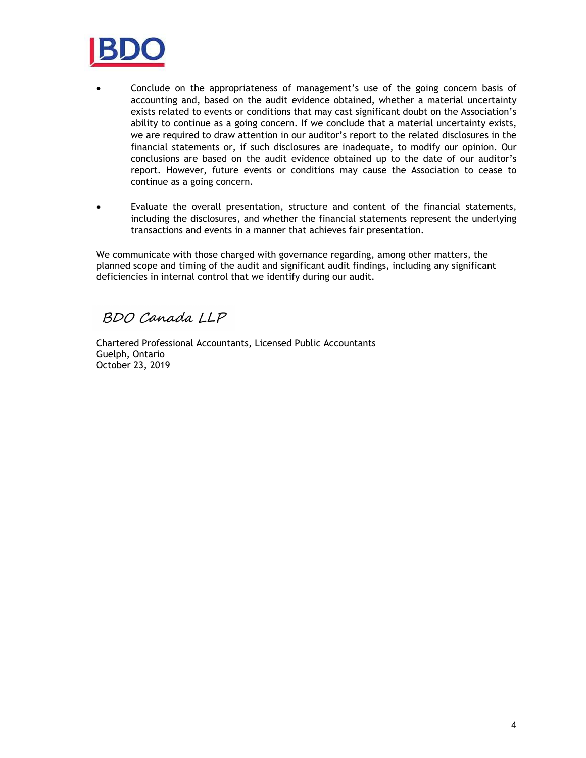

- Conclude on the appropriateness of management's use of the going concern basis of accounting and, based on the audit evidence obtained, whether a material uncertainty exists related to events or conditions that may cast significant doubt on the Association's ability to continue as a going concern. If we conclude that a material uncertainty exists, we are required to draw attention in our auditor's report to the related disclosures in the financial statements or, if such disclosures are inadequate, to modify our opinion. Our conclusions are based on the audit evidence obtained up to the date of our auditor's report. However, future events or conditions may cause the Association to cease to continue as a going concern.
- Evaluate the overall presentation, structure and content of the financial statements, including the disclosures, and whether the financial statements represent the underlying transactions and events in a manner that achieves fair presentation.

We communicate with those charged with governance regarding, among other matters, the planned scope and timing of the audit and significant audit findings, including any significant deficiencies in internal control that we identify during our audit.

BDO Canada LLP

Chartered Professional Accountants, Licensed Public Accountants Guelph, Ontario October 23, 2019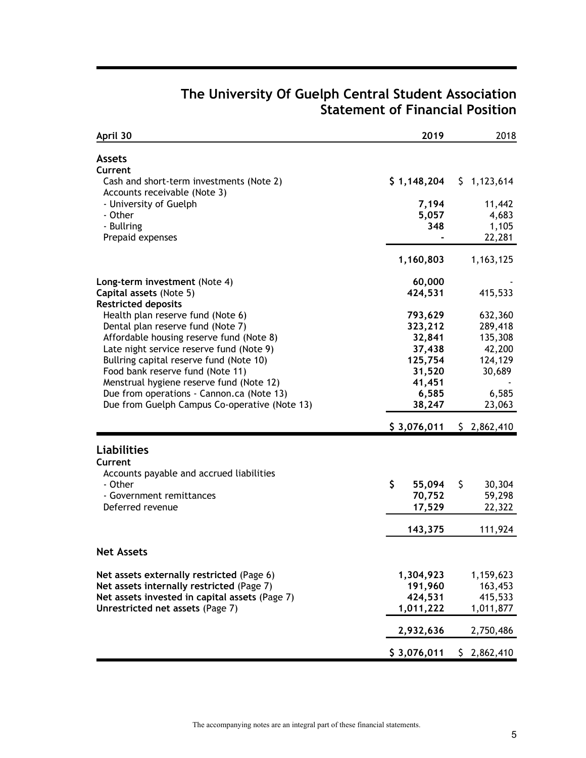| April 30                                                                 | 2019         | 2018         |
|--------------------------------------------------------------------------|--------------|--------------|
| <b>Assets</b><br>Current                                                 |              |              |
| Cash and short-term investments (Note 2)<br>Accounts receivable (Note 3) | \$1,148,204  | \$1,123,614  |
| - University of Guelph                                                   | 7,194        | 11,442       |
| - Other                                                                  | 5,057        | 4,683        |
| - Bullring                                                               | 348          | 1,105        |
| Prepaid expenses                                                         |              | 22,281       |
|                                                                          | 1,160,803    | 1, 163, 125  |
| Long-term investment (Note 4)                                            | 60,000       |              |
| Capital assets (Note 5)<br><b>Restricted deposits</b>                    | 424,531      | 415,533      |
| Health plan reserve fund (Note 6)                                        | 793,629      | 632,360      |
| Dental plan reserve fund (Note 7)                                        | 323,212      | 289,418      |
| Affordable housing reserve fund (Note 8)                                 | 32,841       | 135,308      |
| Late night service reserve fund (Note 9)                                 | 37,438       | 42,200       |
| Bullring capital reserve fund (Note 10)                                  | 125,754      | 124,129      |
| Food bank reserve fund (Note 11)                                         | 31,520       | 30,689       |
| Menstrual hygiene reserve fund (Note 12)                                 | 41,451       |              |
| Due from operations - Cannon.ca (Note 13)                                | 6,585        | 6,585        |
| Due from Guelph Campus Co-operative (Note 13)                            | 38,247       | 23,063       |
|                                                                          | \$3,076,011  | \$2,862,410  |
| <b>Liabilities</b>                                                       |              |              |
| Current                                                                  |              |              |
| Accounts payable and accrued liabilities                                 |              |              |
| - Other                                                                  | \$<br>55,094 | \$<br>30,304 |
| - Government remittances                                                 | 70,752       | 59,298       |
| Deferred revenue                                                         | 17,529       | 22,322       |
|                                                                          | 143,375      | 111,924      |
| <b>Net Assets</b>                                                        |              |              |
| Net assets externally restricted (Page 6)                                | 1,304,923    | 1,159,623    |
| Net assets internally restricted (Page 7)                                | 191,960      | 163,453      |
| Net assets invested in capital assets (Page 7)                           | 424,531      | 415,533      |
| Unrestricted net assets (Page 7)                                         | 1,011,222    | 1,011,877    |
|                                                                          | 2,932,636    | 2,750,486    |
|                                                                          | \$3,076,011  | \$2,862,410  |

### **The University Of Guelph Central Student Association Statement of Financial Position**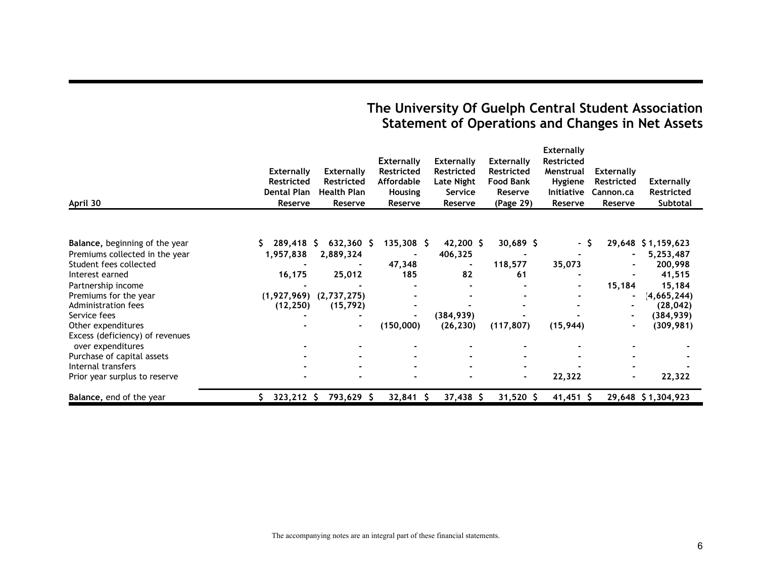# **The University Of Guelph Central Student Association Statement of Operations and Changes in Net Assets**

|                                                      |                    |                    |                   |                   |                  | <b>Externally</b> |                   |                    |
|------------------------------------------------------|--------------------|--------------------|-------------------|-------------------|------------------|-------------------|-------------------|--------------------|
|                                                      |                    |                    | <b>Externally</b> | <b>Externally</b> | Externally       | <b>Restricted</b> |                   |                    |
|                                                      | <b>Externally</b>  | <b>Externally</b>  | <b>Restricted</b> | Restricted        | Restricted       | Menstrual         | <b>Externally</b> |                    |
|                                                      | <b>Restricted</b>  | <b>Restricted</b>  | <b>Affordable</b> | Late Night        | <b>Food Bank</b> | Hygiene           | Restricted        | <b>Externally</b>  |
|                                                      | <b>Dental Plan</b> | <b>Health Plan</b> | <b>Housing</b>    | Service           | Reserve          | <b>Initiative</b> | Cannon.ca         | Restricted         |
| April 30                                             | Reserve            | Reserve            | Reserve           | Reserve           | (Page 29)        | Reserve           | Reserve           | Subtotal           |
|                                                      |                    |                    |                   |                   |                  |                   |                   |                    |
| Balance, beginning of the year                       | 289,418 S          | $632,360$ \$       | $135,308$ \$      | $42,200$ \$       | $30,689$ \$      | - S               |                   | 29,648 \$1,159,623 |
| Premiums collected in the year                       | 1,957,838          | 2,889,324          |                   | 406,325           |                  |                   |                   | 5,253,487          |
| Student fees collected                               |                    |                    | 47,348            |                   | 118,577          | 35,073            |                   | 200,998            |
| Interest earned                                      | 16,175             | 25,012             | 185               | 82                | 61               |                   |                   | 41,515             |
| Partnership income                                   |                    |                    |                   |                   |                  |                   | 15,184            | 15,184             |
| Premiums for the year                                | (1,927,969)        | (2,737,275)        |                   |                   |                  |                   |                   | (4, 665, 244)      |
| Administration fees                                  | (12, 250)          | (15, 792)          |                   |                   |                  |                   |                   | (28, 042)          |
| Service fees                                         |                    |                    | $\blacksquare$    | (384, 939)        |                  |                   |                   | (384, 939)         |
| Other expenditures                                   |                    | $\blacksquare$     | (150,000)         | (26, 230)         | (117, 807)       | (15, 944)         | $\blacksquare$    | (309, 981)         |
| Excess (deficiency) of revenues<br>over expenditures |                    |                    |                   |                   |                  |                   |                   |                    |
| Purchase of capital assets                           |                    |                    |                   |                   |                  |                   |                   |                    |
| Internal transfers                                   |                    |                    |                   |                   |                  |                   |                   |                    |
| Prior year surplus to reserve                        |                    |                    |                   |                   | $\blacksquare$   | 22,322            |                   | 22,322             |
| Balance, end of the year                             | $323,212$ \$       | 793,629 \$         | $32,841$ \$       | $37,438$ \$       | $31,520$ \$      | $41,451$ \$       |                   | 29,648 \$1,304,923 |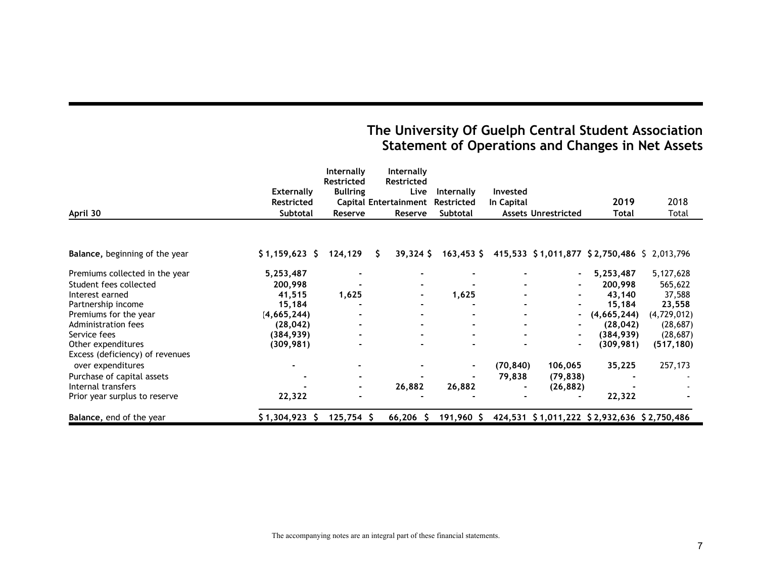# **The University Of Guelph Central Student Association Statement of Operations and Changes in Net Assets**

|                                 |                   | Internally<br><b>Restricted</b> | Internally<br>Restricted     |                |            |                            |                                             |             |
|---------------------------------|-------------------|---------------------------------|------------------------------|----------------|------------|----------------------------|---------------------------------------------|-------------|
|                                 | <b>Externally</b> | <b>Bullring</b>                 | Live                         | Internally     | Invested   |                            |                                             |             |
|                                 | <b>Restricted</b> |                                 | <b>Capital Entertainment</b> | Restricted     | In Capital |                            | 2019                                        | 2018        |
| April 30                        | Subtotal          | Reserve                         | Reserve                      | Subtotal       |            | <b>Assets Unrestricted</b> | Total                                       | Total       |
|                                 |                   |                                 |                              |                |            |                            |                                             |             |
| Balance, beginning of the year  | $$1,159,623$ \$   | 124,129                         | S.<br>$39,324$ \$            | $163,453$ \$   |            |                            | 415,533 \$1,011,877 \$2,750,486 \$2,013,796 |             |
| Premiums collected in the year  | 5,253,487         |                                 |                              |                |            |                            | 5,253,487                                   | 5,127,628   |
| Student fees collected          | 200,998           |                                 |                              |                |            |                            | 200,998                                     | 565,622     |
| Interest earned                 | 41,515            | 1,625                           |                              | 1,625          |            |                            | 43,140                                      | 37,588      |
| Partnership income              | 15,184            |                                 |                              |                |            |                            | 15,184                                      | 23,558      |
| Premiums for the year           | (4, 665, 244)     |                                 |                              |                |            |                            | (4,665,244)                                 | (4,729,012) |
| Administration fees             | (28, 042)         |                                 |                              |                |            |                            | (28, 042)                                   | (28, 687)   |
| Service fees                    | (384, 939)        | $\blacksquare$                  |                              |                |            |                            | (384, 939)                                  | (28, 687)   |
| Other expenditures              | (309, 981)        |                                 |                              |                |            |                            | (309, 981)                                  | (517, 180)  |
| Excess (deficiency) of revenues |                   |                                 |                              |                |            |                            |                                             |             |
| over expenditures               | $\blacksquare$    |                                 |                              | $\blacksquare$ | (70, 840)  | 106,065                    | 35,225                                      | 257,173     |
| Purchase of capital assets      |                   | $\blacksquare$                  |                              |                | 79,838     | (79, 838)                  |                                             |             |
| Internal transfers              |                   | $\blacksquare$                  | 26,882                       | 26,882         |            | (26, 882)                  |                                             |             |
| Prior year surplus to reserve   | 22,322            |                                 |                              |                |            |                            | 22,322                                      |             |
| Balance, end of the year        | $$1,304,923$ \$   | $125,754$ \$                    | $66,206$ \$                  | 191,960 \$     |            |                            | 424,531 \$1,011,222 \$2,932,636 \$2,750,486 |             |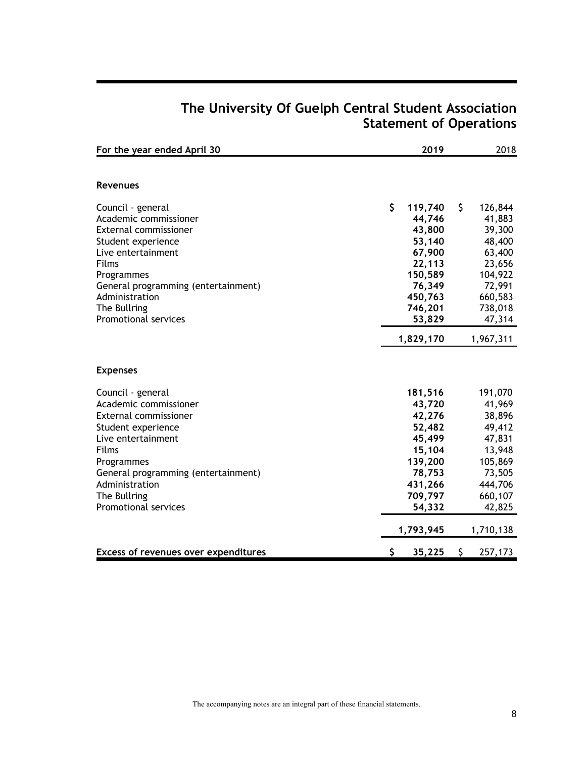| For the year ended April 30              | 2019             | 2018             |
|------------------------------------------|------------------|------------------|
|                                          |                  |                  |
| <b>Revenues</b>                          |                  |                  |
| Council - general                        | \$<br>119,740    | \$<br>126,844    |
| Academic commissioner                    | 44,746           | 41,883           |
| <b>External commissioner</b>             | 43,800           | 39,300           |
| Student experience<br>Live entertainment | 53,140<br>67,900 | 48,400<br>63,400 |
| Films                                    | 22,113           | 23,656           |
| Programmes                               | 150,589          | 104,922          |
| General programming (entertainment)      | 76,349           | 72,991           |
| Administration                           | 450,763          | 660,583          |
| The Bullring                             | 746,201          | 738,018          |
| Promotional services                     | 53,829           | 47,314           |
|                                          | 1,829,170        | 1,967,311        |
| <b>Expenses</b>                          |                  |                  |
| Council - general                        | 181,516          | 191,070          |
| Academic commissioner                    | 43,720           | 41,969           |
| External commissioner                    | 42,276           | 38,896           |
| Student experience                       | 52,482           | 49,412           |
| Live entertainment                       | 45,499           | 47,831           |
| Films                                    | 15,104           | 13,948           |
| Programmes                               | 139,200          | 105,869          |
| General programming (entertainment)      | 78,753           | 73,505           |
| Administration                           | 431,266          | 444,706          |
| The Bullring                             | 709,797          | 660,107          |
| <b>Promotional services</b>              | 54,332           | 42,825           |
|                                          | 1,793,945        | 1,710,138        |
| Excess of revenues over expenditures     | \$<br>35,225     | \$<br>257,173    |

# **The University Of Guelph Central Student Association Statement of Operations**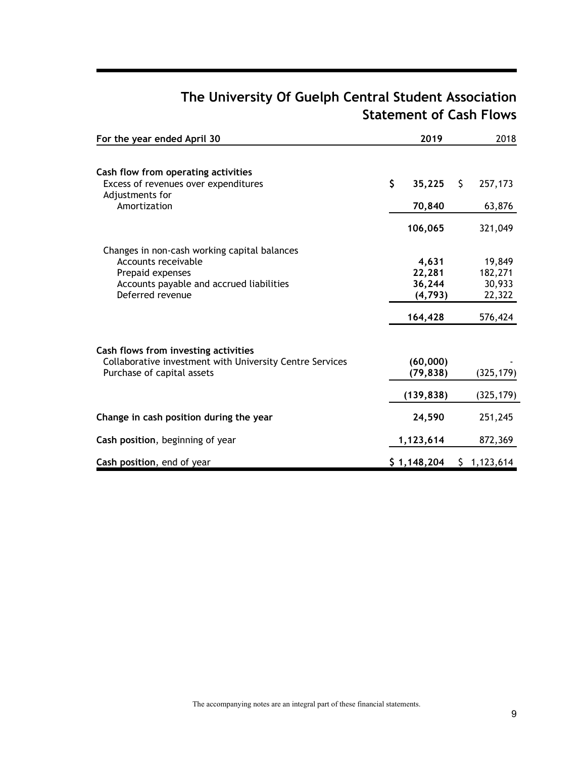# **The University Of Guelph Central Student Association Statement of Cash Flows**

| For the year ended April 30                                  | 2019               |    | 2018             |
|--------------------------------------------------------------|--------------------|----|------------------|
| Cash flow from operating activities                          |                    |    |                  |
| Excess of revenues over expenditures                         | \$<br>35,225       | S. | 257,173          |
| Adjustments for<br>Amortization                              | 70,840             |    | 63,876           |
|                                                              | 106,065            |    | 321,049          |
| Changes in non-cash working capital balances                 |                    |    |                  |
| Accounts receivable                                          | 4,631              |    | 19,849           |
| Prepaid expenses                                             | 22,281             |    | 182,271          |
| Accounts payable and accrued liabilities<br>Deferred revenue | 36,244<br>(4, 793) |    | 30,933<br>22,322 |
|                                                              | 164,428            |    | 576,424          |
| Cash flows from investing activities                         |                    |    |                  |
| Collaborative investment with University Centre Services     | (60,000)           |    |                  |
| Purchase of capital assets                                   | (79, 838)          |    | (325, 179)       |
|                                                              | (139, 838)         |    | (325, 179)       |
| Change in cash position during the year                      | 24,590             |    | 251,245          |
| Cash position, beginning of year                             | 1,123,614          |    | 872,369          |
| Cash position, end of year                                   | \$1,148,204        |    | \$1,123,614      |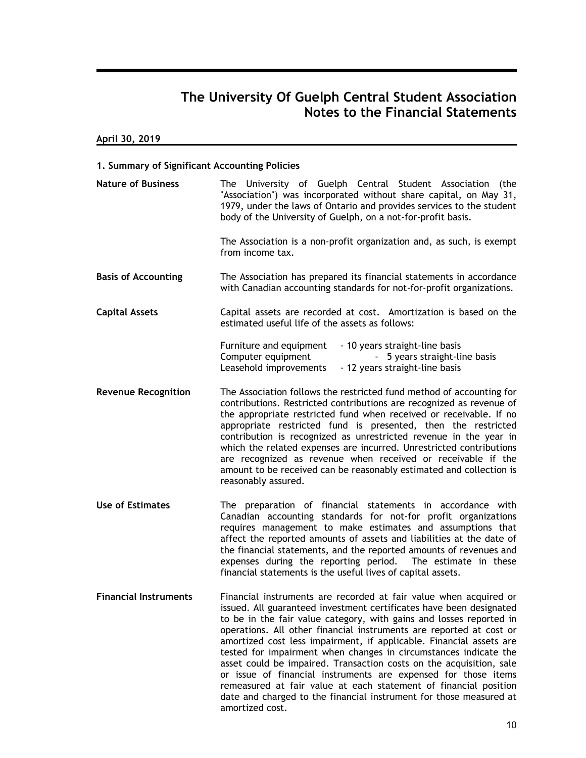**April 30, 2019**

#### **1. Summary of Significant Accounting Policies**

| <b>Nature of Business</b>    | The University of Guelph Central Student Association (the<br>"Association") was incorporated without share capital, on May 31,<br>1979, under the laws of Ontario and provides services to the student<br>body of the University of Guelph, on a not-for-profit basis.                                                                                                                                                                                                                                                                                                                                                                                                                                                                  |
|------------------------------|-----------------------------------------------------------------------------------------------------------------------------------------------------------------------------------------------------------------------------------------------------------------------------------------------------------------------------------------------------------------------------------------------------------------------------------------------------------------------------------------------------------------------------------------------------------------------------------------------------------------------------------------------------------------------------------------------------------------------------------------|
|                              | The Association is a non-profit organization and, as such, is exempt<br>from income tax.                                                                                                                                                                                                                                                                                                                                                                                                                                                                                                                                                                                                                                                |
| <b>Basis of Accounting</b>   | The Association has prepared its financial statements in accordance<br>with Canadian accounting standards for not-for-profit organizations.                                                                                                                                                                                                                                                                                                                                                                                                                                                                                                                                                                                             |
| <b>Capital Assets</b>        | Capital assets are recorded at cost. Amortization is based on the<br>estimated useful life of the assets as follows:                                                                                                                                                                                                                                                                                                                                                                                                                                                                                                                                                                                                                    |
|                              | Furniture and equipment<br>- 10 years straight-line basis<br>Computer equipment<br>- 5 years straight-line basis<br>Leasehold improvements<br>- 12 years straight-line basis                                                                                                                                                                                                                                                                                                                                                                                                                                                                                                                                                            |
| <b>Revenue Recognition</b>   | The Association follows the restricted fund method of accounting for<br>contributions. Restricted contributions are recognized as revenue of<br>the appropriate restricted fund when received or receivable. If no<br>appropriate restricted fund is presented, then the restricted<br>contribution is recognized as unrestricted revenue in the year in<br>which the related expenses are incurred. Unrestricted contributions<br>are recognized as revenue when received or receivable if the<br>amount to be received can be reasonably estimated and collection is<br>reasonably assured.                                                                                                                                           |
| <b>Use of Estimates</b>      | The preparation of financial statements in accordance with<br>Canadian accounting standards for not-for profit organizations<br>requires management to make estimates and assumptions that<br>affect the reported amounts of assets and liabilities at the date of<br>the financial statements, and the reported amounts of revenues and<br>expenses during the reporting period. The estimate in these<br>financial statements is the useful lives of capital assets.                                                                                                                                                                                                                                                                  |
| <b>Financial Instruments</b> | Financial instruments are recorded at fair value when acquired or<br>issued. All guaranteed investment certificates have been designated<br>to be in the fair value category, with gains and losses reported in<br>operations. All other financial instruments are reported at cost or<br>amortized cost less impairment, if applicable. Financial assets are<br>tested for impairment when changes in circumstances indicate the<br>asset could be impaired. Transaction costs on the acquisition, sale<br>or issue of financial instruments are expensed for those items<br>remeasured at fair value at each statement of financial position<br>date and charged to the financial instrument for those measured at<br>amortized cost. |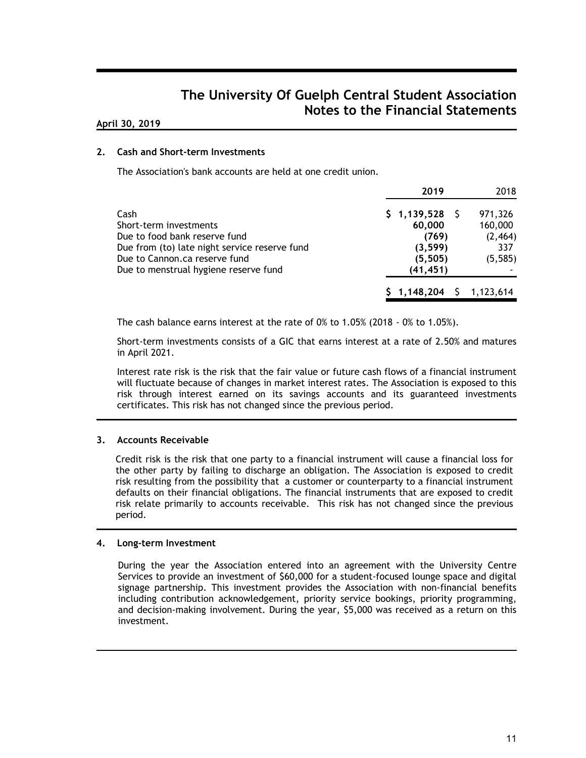#### **April 30, 2019**

#### **2. Cash and Short-term Investments**

The Association's bank accounts are held at one credit union.

|                                               | 2019                          | 2018     |
|-----------------------------------------------|-------------------------------|----------|
| Cash                                          | \$1,139,528                   | 971,326  |
| Short-term investments                        | 60,000                        | 160,000  |
| Due to food bank reserve fund                 | (769)                         | (2, 464) |
| Due from (to) late night service reserve fund | (3, 599)                      | 337      |
| Due to Cannon.ca reserve fund                 | (5, 505)                      | (5, 585) |
| Due to menstrual hygiene reserve fund         | (41, 451)                     |          |
|                                               | $$1,148,204 \quad $1,123,614$ |          |

The cash balance earns interest at the rate of 0% to 1.05% (2018 - 0% to 1.05%).

Short-term investments consists of a GIC that earns interest at a rate of 2.50% and matures in April 2021.

Interest rate risk is the risk that the fair value or future cash flows of a financial instrument will fluctuate because of changes in market interest rates. The Association is exposed to this risk through interest earned on its savings accounts and its guaranteed investments certificates. This risk has not changed since the previous period.

#### **3. Accounts Receivable**

Credit risk is the risk that one party to a financial instrument will cause a financial loss for the other party by failing to discharge an obligation. The Association is exposed to credit risk resulting from the possibility that a customer or counterparty to a financial instrument defaults on their financial obligations. The financial instruments that are exposed to credit risk relate primarily to accounts receivable. This risk has not changed since the previous period.

#### **4. Long-term Investment**

During the year the Association entered into an agreement with the University Centre Services to provide an investment of \$60,000 for a student-focused lounge space and digital signage partnership. This investment provides the Association with non-financial benefits including contribution acknowledgement, priority service bookings, priority programming, and decision-making involvement. During the year, \$5,000 was received as a return on this investment.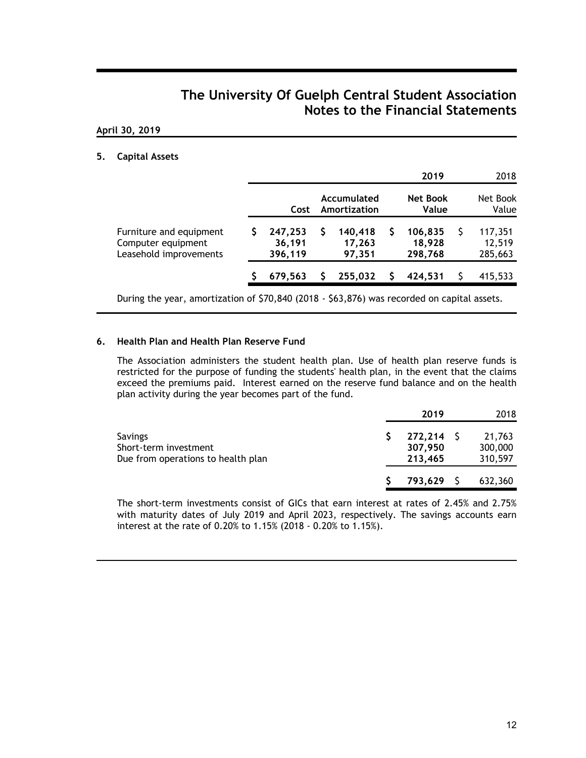#### **April 30, 2019**

#### **5. Capital Assets**

|                                                                         |                              |                             | 2019                         | 2018                         |
|-------------------------------------------------------------------------|------------------------------|-----------------------------|------------------------------|------------------------------|
|                                                                         | Cost                         | Accumulated<br>Amortization | <b>Net Book</b><br>Value     | Net Book<br>Value            |
| Furniture and equipment<br>Computer equipment<br>Leasehold improvements | 247,253<br>36,191<br>396,119 | 140,418<br>17,263<br>97,351 | 106,835<br>18,928<br>298,768 | 117,351<br>12,519<br>285,663 |
|                                                                         | 679,563                      | 255,032                     | 424.531                      | 415,533                      |
|                                                                         |                              |                             |                              |                              |

During the year, amortization of \$70,840 (2018 - \$63,876) was recorded on capital assets.

#### **6. Health Plan and Health Plan Reserve Fund**

The Association administers the student health plan. Use of health plan reserve funds is restricted for the purpose of funding the students' health plan, in the event that the claims exceed the premiums paid. Interest earned on the reserve fund balance and on the health plan activity during the year becomes part of the fund.

|                                                                        | 2019                               | 2018                         |
|------------------------------------------------------------------------|------------------------------------|------------------------------|
| Savings<br>Short-term investment<br>Due from operations to health plan | $272,214$ \$<br>307,950<br>213,465 | 21,763<br>300,000<br>310,597 |
|                                                                        | 793,629                            | 632,360                      |

The short-term investments consist of GICs that earn interest at rates of 2.45% and 2.75% with maturity dates of July 2019 and April 2023, respectively. The savings accounts earn interest at the rate of 0.20% to 1.15% (2018 - 0.20% to 1.15%).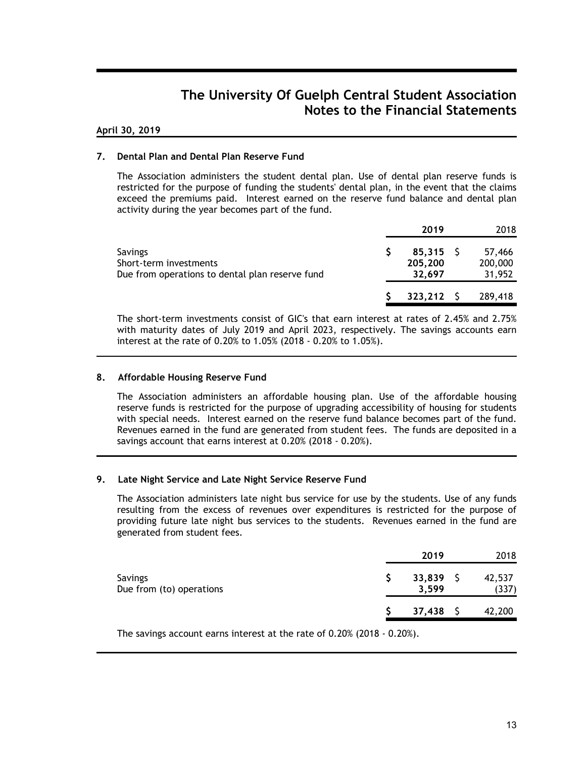#### **April 30, 2019**

#### **7. Dental Plan and Dental Plan Reserve Fund**

The Association administers the student dental plan. Use of dental plan reserve funds is restricted for the purpose of funding the students' dental plan, in the event that the claims exceed the premiums paid. Interest earned on the reserve fund balance and dental plan activity during the year becomes part of the fund.

|                                                                                      | 2019                             | 2018                        |
|--------------------------------------------------------------------------------------|----------------------------------|-----------------------------|
| Savings<br>Short-term investments<br>Due from operations to dental plan reserve fund | $85,315$ \$<br>205,200<br>32.697 | 57,466<br>200,000<br>31,952 |
|                                                                                      | $323,212$ \$                     | 289,418                     |

The short-term investments consist of GIC's that earn interest at rates of 2.45% and 2.75% with maturity dates of July 2019 and April 2023, respectively. The savings accounts earn interest at the rate of 0.20% to 1.05% (2018 - 0.20% to 1.05%).

#### **8. Affordable Housing Reserve Fund**

The Association administers an affordable housing plan. Use of the affordable housing reserve funds is restricted for the purpose of upgrading accessibility of housing for students with special needs. Interest earned on the reserve fund balance becomes part of the fund. Revenues earned in the fund are generated from student fees. The funds are deposited in a savings account that earns interest at 0.20% (2018 - 0.20%).

#### **9. Late Night Service and Late Night Service Reserve Fund**

The Association administers late night bus service for use by the students. Use of any funds resulting from the excess of revenues over expenditures is restricted for the purpose of providing future late night bus services to the students. Revenues earned in the fund are generated from student fees.

|                                            | 2019                 | 2018            |
|--------------------------------------------|----------------------|-----------------|
| <b>Savings</b><br>Due from (to) operations | $33,839$ \$<br>3,599 | 42,537<br>(337) |
|                                            | 37,438               | 42,200          |

The savings account earns interest at the rate of 0.20% (2018 - 0.20%).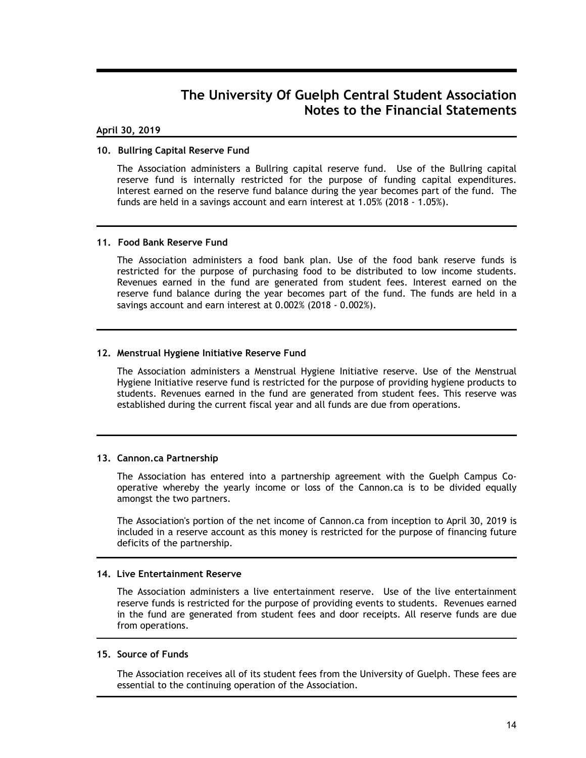#### **April 30, 2019**

#### **10. Bullring Capital Reserve Fund**

The Association administers a Bullring capital reserve fund. Use of the Bullring capital reserve fund is internally restricted for the purpose of funding capital expenditures. Interest earned on the reserve fund balance during the year becomes part of the fund. The funds are held in a savings account and earn interest at 1.05% (2018 - 1.05%).

#### **11. Food Bank Reserve Fund**

The Association administers a food bank plan. Use of the food bank reserve funds is restricted for the purpose of purchasing food to be distributed to low income students. Revenues earned in the fund are generated from student fees. Interest earned on the reserve fund balance during the year becomes part of the fund. The funds are held in a savings account and earn interest at 0.002% (2018 - 0.002%).

#### **12. Menstrual Hygiene Initiative Reserve Fund**

The Association administers a Menstrual Hygiene Initiative reserve. Use of the Menstrual Hygiene Initiative reserve fund is restricted for the purpose of providing hygiene products to students. Revenues earned in the fund are generated from student fees. This reserve was established during the current fiscal year and all funds are due from operations.

#### **13. Cannon.ca Partnership**

The Association has entered into a partnership agreement with the Guelph Campus Cooperative whereby the yearly income or loss of the Cannon.ca is to be divided equally amongst the two partners.

The Association's portion of the net income of Cannon.ca from inception to April 30, 2019 is included in a reserve account as this money is restricted for the purpose of financing future deficits of the partnership.

#### **14. Live Entertainment Reserve**

The Association administers a live entertainment reserve. Use of the live entertainment reserve funds is restricted for the purpose of providing events to students. Revenues earned in the fund are generated from student fees and door receipts. All reserve funds are due from operations.

#### **15. Source of Funds**

The Association receives all of its student fees from the University of Guelph. These fees are essential to the continuing operation of the Association.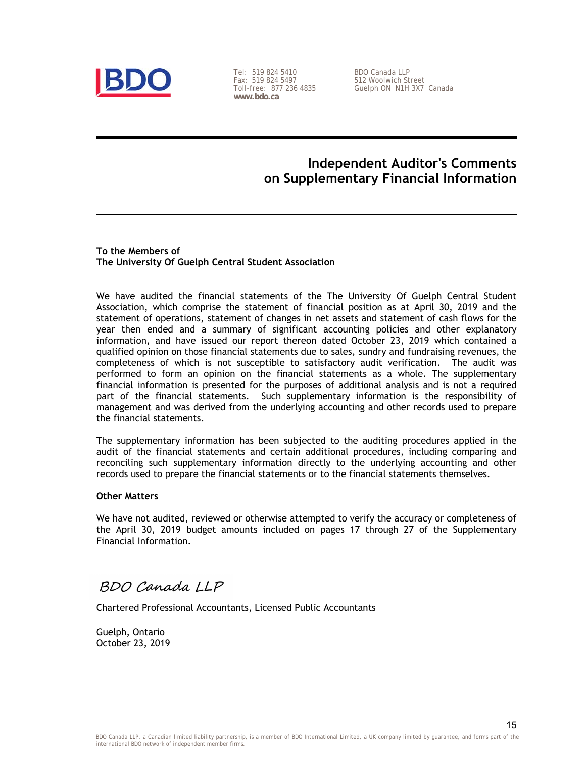

Tel: 519 824 5410 Fax: 519 824 5497 Toll-free: 877 236 4835 **www.bdo.ca** 

BDO Canada LLP 512 Woolwich Street Guelph ON N1H 3X7 Canada

### **Independent Auditor's Comments on Supplementary Financial Information**

**To the Members of The University Of Guelph Central Student Association**

We have audited the financial statements of the The University Of Guelph Central Student Association, which comprise the statement of financial position as at April 30, 2019 and the statement of operations, statement of changes in net assets and statement of cash flows for the year then ended and a summary of significant accounting policies and other explanatory information, and have issued our report thereon dated October 23, 2019 which contained a qualified opinion on those financial statements due to sales, sundry and fundraising revenues, the completeness of which is not susceptible to satisfactory audit verification. The audit was performed to form an opinion on the financial statements as a whole. The supplementary financial information is presented for the purposes of additional analysis and is not a required part of the financial statements. Such supplementary information is the responsibility of management and was derived from the underlying accounting and other records used to prepare the financial statements.

The supplementary information has been subjected to the auditing procedures applied in the audit of the financial statements and certain additional procedures, including comparing and reconciling such supplementary information directly to the underlying accounting and other records used to prepare the financial statements or to the financial statements themselves.

#### **Other Matters**

We have not audited, reviewed or otherwise attempted to verify the accuracy or completeness of the April 30, 2019 budget amounts included on pages 17 through 27 of the Supplementary Financial Information.

BDO Canada LLP

Chartered Professional Accountants, Licensed Public Accountants

Guelph, Ontario October 23, 2019

15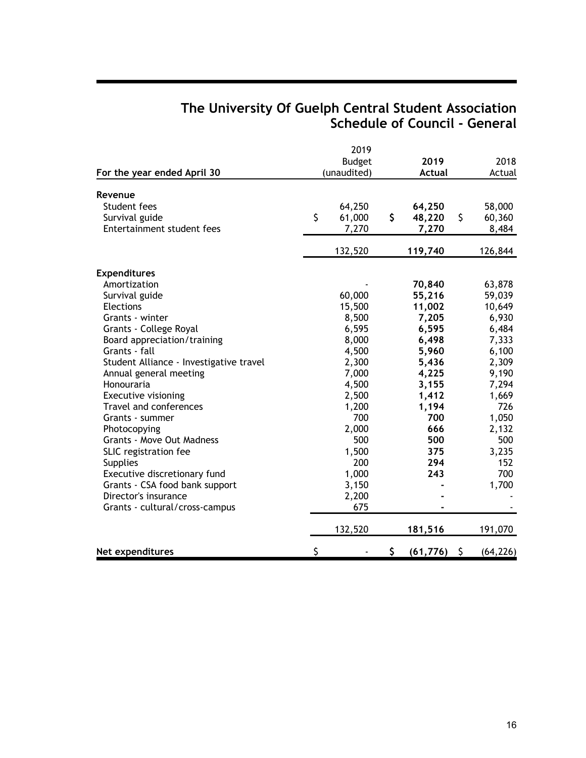## **The University Of Guelph Central Student Association Schedule of Council - General**

|                                         | 2019          |                 |                 |
|-----------------------------------------|---------------|-----------------|-----------------|
|                                         | <b>Budget</b> | 2019            | 2018            |
| For the year ended April 30             | (unaudited)   | <b>Actual</b>   | Actual          |
| Revenue                                 |               |                 |                 |
| Student fees                            | 64,250        | 64,250          | 58,000          |
| Survival guide                          | \$<br>61,000  | \$<br>48,220    | \$<br>60,360    |
| Entertainment student fees              | 7,270         | 7,270           | 8,484           |
|                                         | 132,520       | 119,740         | 126,844         |
| <b>Expenditures</b>                     |               |                 |                 |
| Amortization                            |               | 70,840          | 63,878          |
| Survival guide                          | 60,000        | 55,216          | 59,039          |
| Elections                               | 15,500        | 11,002          | 10,649          |
| Grants - winter                         | 8,500         | 7,205           | 6,930           |
| Grants - College Royal                  | 6,595         | 6,595           | 6,484           |
| Board appreciation/training             | 8,000         | 6,498           | 7,333           |
| Grants - fall                           | 4,500         | 5,960           | 6,100           |
| Student Alliance - Investigative travel | 2,300         | 5,436           | 2,309           |
| Annual general meeting                  | 7,000         | 4,225           | 9,190           |
| Honouraria                              | 4,500         | 3,155           | 7,294           |
| <b>Executive visioning</b>              | 2,500         | 1,412           | 1,669           |
| Travel and conferences                  | 1,200         | 1,194           | 726             |
| Grants - summer                         | 700           | 700             | 1,050           |
| Photocopying                            | 2,000         | 666             | 2,132           |
| Grants - Move Out Madness               | 500           | 500             | 500             |
| SLIC registration fee                   | 1,500         | 375             | 3,235           |
| <b>Supplies</b>                         | 200           | 294             | 152             |
| Executive discretionary fund            | 1,000         | 243             | 700             |
| Grants - CSA food bank support          | 3,150         |                 | 1,700           |
| Director's insurance                    | 2,200         |                 |                 |
| Grants - cultural/cross-campus          | 675           |                 |                 |
|                                         | 132,520       | 181,516         | 191,070         |
| Net expenditures                        | \$            | \$<br>(61, 776) | \$<br>(64, 226) |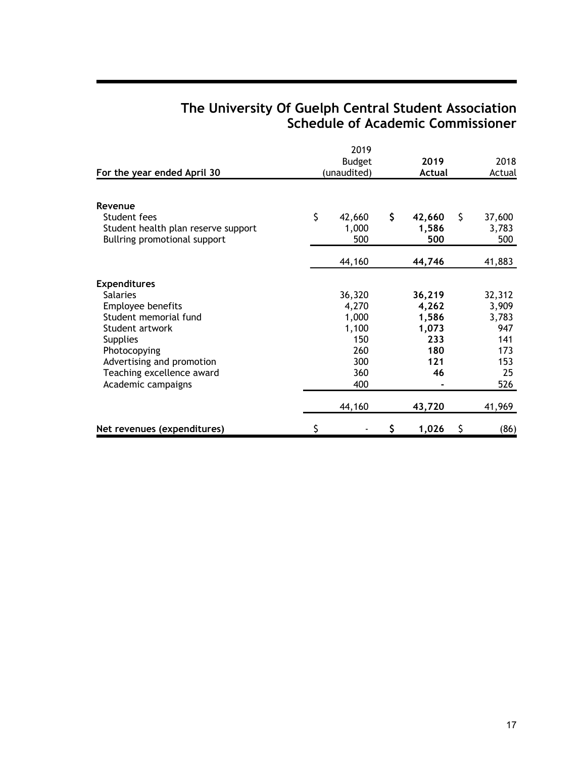# **The University Of Guelph Central Student Association Schedule of Academic Commissioner**

|                                     |               | 2019        |    |        |    |        |  |
|-------------------------------------|---------------|-------------|----|--------|----|--------|--|
|                                     | <b>Budget</b> |             |    | 2019   |    | 2018   |  |
| For the year ended April 30         |               | (unaudited) |    | Actual |    | Actual |  |
|                                     |               |             |    |        |    |        |  |
| Revenue                             |               |             |    |        |    |        |  |
| Student fees                        | \$            | 42,660      | \$ | 42,660 | \$ | 37,600 |  |
| Student health plan reserve support |               | 1,000       |    | 1,586  |    | 3,783  |  |
| Bullring promotional support        |               | 500         |    | 500    |    | 500    |  |
|                                     |               | 44,160      |    | 44,746 |    | 41,883 |  |
| <b>Expenditures</b>                 |               |             |    |        |    |        |  |
| <b>Salaries</b>                     |               | 36,320      |    | 36,219 |    | 32,312 |  |
| Employee benefits                   |               | 4,270       |    | 4,262  |    | 3,909  |  |
| Student memorial fund               |               | 1,000       |    | 1,586  |    | 3,783  |  |
| Student artwork                     |               | 1,100       |    | 1,073  |    | 947    |  |
| <b>Supplies</b>                     |               | 150         |    | 233    |    | 141    |  |
| Photocopying                        |               | 260         |    | 180    |    | 173    |  |
| Advertising and promotion           |               | 300         |    | 121    |    | 153    |  |
| Teaching excellence award           |               | 360         |    | 46     |    | 25     |  |
| Academic campaigns                  |               | 400         |    |        |    | 526    |  |
|                                     |               | 44,160      |    | 43,720 |    | 41,969 |  |
| Net revenues (expenditures)         | \$            |             | S  | 1,026  | \$ | (86)   |  |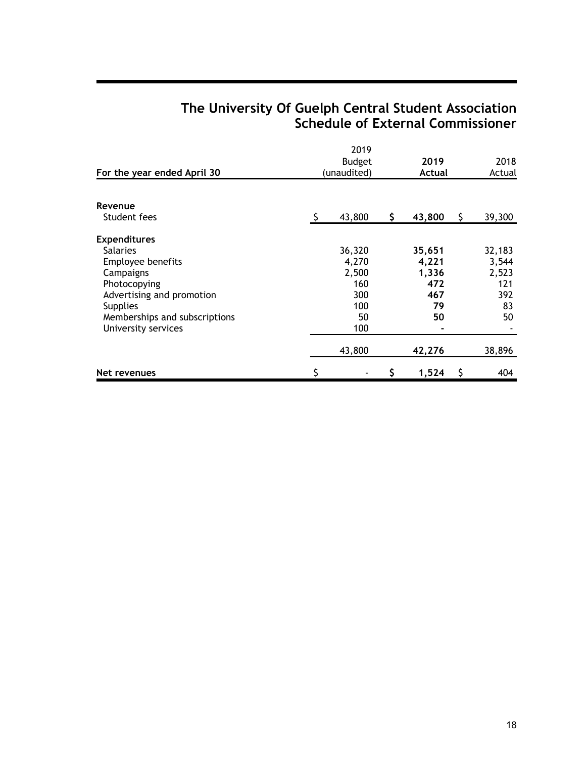# **The University Of Guelph Central Student Association Schedule of External Commissioner**

|                               | <b>Budget</b> |             |    | 2019   |     | 2018   |  |
|-------------------------------|---------------|-------------|----|--------|-----|--------|--|
| For the year ended April 30   |               | (unaudited) |    | Actual |     | Actual |  |
|                               |               |             |    |        |     |        |  |
| Revenue                       |               |             |    |        |     |        |  |
| Student fees                  | S             | 43,800      | \$ | 43,800 | \$. | 39,300 |  |
| <b>Expenditures</b>           |               |             |    |        |     |        |  |
| <b>Salaries</b>               |               | 36,320      |    | 35,651 |     | 32,183 |  |
| <b>Employee benefits</b>      |               | 4,270       |    | 4,221  |     | 3,544  |  |
| Campaigns                     |               | 2,500       |    | 1,336  |     | 2,523  |  |
| Photocopying                  |               | 160         |    | 472    |     | 121    |  |
| Advertising and promotion     |               | 300         |    | 467    |     | 392    |  |
| <b>Supplies</b>               |               | 100         |    | 79     |     | 83     |  |
| Memberships and subscriptions |               | 50          |    | 50     |     | 50     |  |
| University services           |               | 100         |    |        |     |        |  |
|                               |               | 43,800      |    | 42,276 |     | 38,896 |  |
| Net revenues                  |               |             | \$ | 1,524  | S   | 404    |  |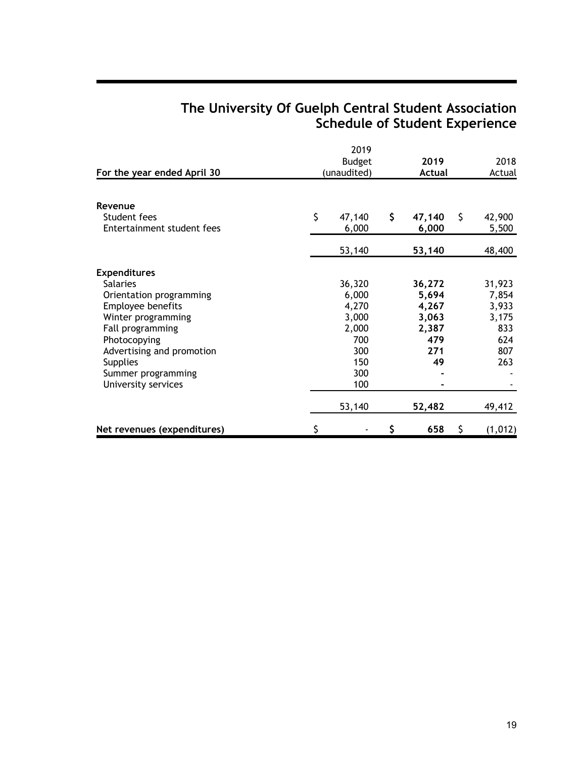# **The University Of Guelph Central Student Association Schedule of Student Experience**

| For the year ended April 30                                                                                                                                                                                                                   | 2019<br><b>Budget</b><br>(unaudited)                                          |    |                                                                | 2019<br>Actual |                                                               |
|-----------------------------------------------------------------------------------------------------------------------------------------------------------------------------------------------------------------------------------------------|-------------------------------------------------------------------------------|----|----------------------------------------------------------------|----------------|---------------------------------------------------------------|
| Revenue                                                                                                                                                                                                                                       |                                                                               |    |                                                                |                |                                                               |
| Student fees<br>Entertainment student fees                                                                                                                                                                                                    | \$<br>47,140<br>6,000                                                         | \$ | 47,140<br>6,000                                                | \$             | 42,900<br>5,500                                               |
|                                                                                                                                                                                                                                               | 53,140                                                                        |    | 53,140                                                         |                | 48,400                                                        |
| <b>Expenditures</b><br><b>Salaries</b><br>Orientation programming<br>Employee benefits<br>Winter programming<br>Fall programming<br>Photocopying<br>Advertising and promotion<br><b>Supplies</b><br>Summer programming<br>University services | 36,320<br>6,000<br>4,270<br>3,000<br>2,000<br>700<br>300<br>150<br>300<br>100 |    | 36,272<br>5,694<br>4,267<br>3,063<br>2,387<br>479<br>271<br>49 |                | 31,923<br>7,854<br>3,933<br>3,175<br>833<br>624<br>807<br>263 |
|                                                                                                                                                                                                                                               | 53,140                                                                        |    | 52,482                                                         |                | 49,412                                                        |
| Net revenues (expenditures)                                                                                                                                                                                                                   | \$                                                                            | Ş  | 658                                                            | \$             | (1, 012)                                                      |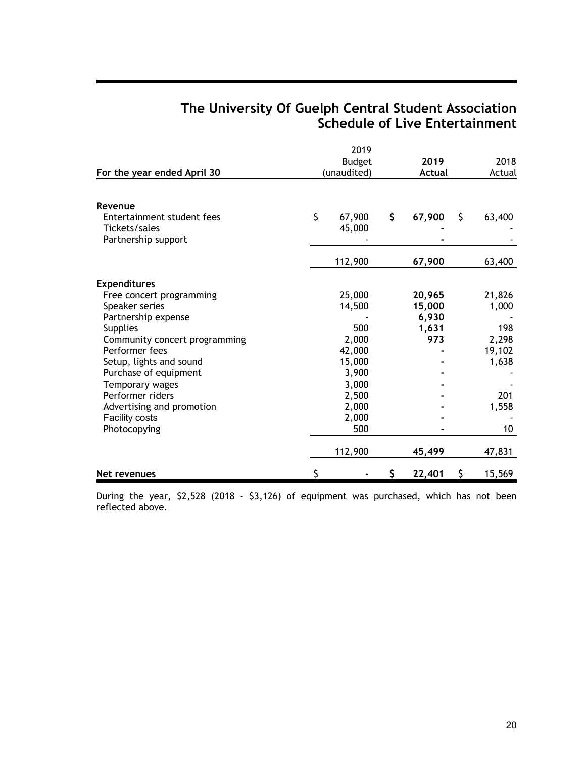## **The University Of Guelph Central Student Association Schedule of Live Entertainment**

|                                                                               |               | 2019             |    |               |    |        |
|-------------------------------------------------------------------------------|---------------|------------------|----|---------------|----|--------|
|                                                                               | <b>Budget</b> |                  |    | 2019          |    | 2018   |
| For the year ended April 30                                                   |               | (unaudited)      |    | <b>Actual</b> |    | Actual |
| Revenue<br>Entertainment student fees<br>Tickets/sales<br>Partnership support | \$            | 67,900<br>45,000 | \$ | 67,900        | \$ | 63,400 |
|                                                                               |               | 112,900          |    | 67,900        |    | 63,400 |
| <b>Expenditures</b>                                                           |               |                  |    |               |    |        |
| Free concert programming                                                      |               | 25,000           |    | 20,965        |    | 21,826 |
| Speaker series                                                                |               | 14,500           |    | 15,000        |    | 1,000  |
| Partnership expense                                                           |               |                  |    | 6,930         |    |        |
| <b>Supplies</b>                                                               |               | 500              |    | 1,631         |    | 198    |
| Community concert programming                                                 |               | 2,000            |    | 973           |    | 2,298  |
| Performer fees                                                                |               | 42,000           |    |               |    | 19,102 |
| Setup, lights and sound                                                       |               | 15,000           |    |               |    | 1,638  |
| Purchase of equipment                                                         |               | 3,900            |    |               |    |        |
| Temporary wages                                                               |               | 3,000            |    |               |    |        |
| Performer riders                                                              |               | 2,500            |    |               |    | 201    |
| Advertising and promotion                                                     |               | 2,000            |    |               |    | 1,558  |
| <b>Facility costs</b>                                                         |               | 2,000            |    |               |    |        |
| Photocopying                                                                  |               | 500              |    |               |    | 10     |
|                                                                               |               | 112,900          |    | 45,499        |    | 47,831 |
| Net revenues                                                                  | S             |                  | \$ | 22,401        | \$ | 15,569 |

During the year, \$2,528 (2018 - \$3,126) of equipment was purchased, which has not been reflected above.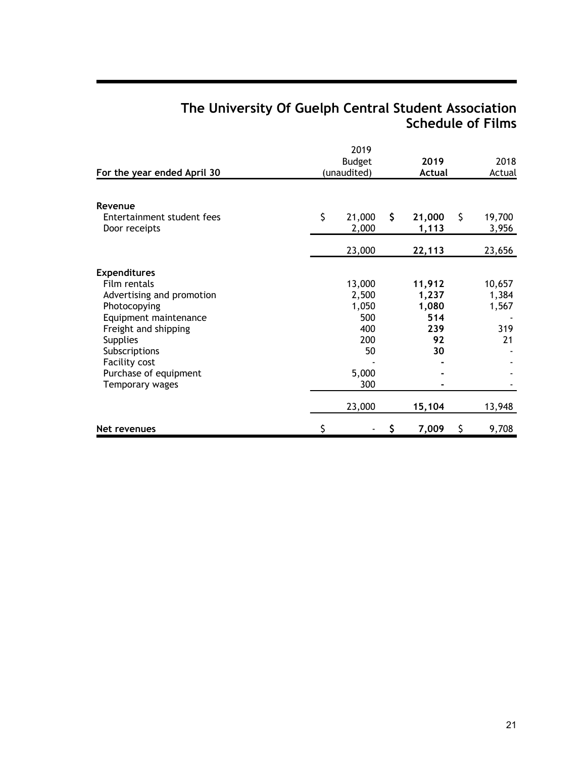# **The University Of Guelph Central Student Association Schedule of Films**

| For the year ended April 30                                                                                                                                                                                                        |                                                               | 2019<br><b>Budget</b><br>(unaudited) |                                                    | 2019<br><b>Actual</b> |                                       |
|------------------------------------------------------------------------------------------------------------------------------------------------------------------------------------------------------------------------------------|---------------------------------------------------------------|--------------------------------------|----------------------------------------------------|-----------------------|---------------------------------------|
| Revenue<br>Entertainment student fees<br>Door receipts                                                                                                                                                                             | \$<br>21,000<br>2,000                                         | \$                                   | 21,000<br>1,113                                    | S.                    | 19,700<br>3,956                       |
|                                                                                                                                                                                                                                    | 23,000                                                        |                                      | 22,113                                             |                       | 23,656                                |
| <b>Expenditures</b><br>Film rentals<br>Advertising and promotion<br>Photocopying<br>Equipment maintenance<br>Freight and shipping<br><b>Supplies</b><br>Subscriptions<br>Facility cost<br>Purchase of equipment<br>Temporary wages | 13,000<br>2,500<br>1,050<br>500<br>400<br>200<br>5,000<br>300 | 50                                   | 11,912<br>1,237<br>1,080<br>514<br>239<br>92<br>30 |                       | 10,657<br>1,384<br>1,567<br>319<br>21 |
|                                                                                                                                                                                                                                    | 23,000                                                        |                                      | 15,104                                             |                       | 13,948                                |
| Net revenues                                                                                                                                                                                                                       | \$                                                            | \$                                   | 7,009                                              | \$                    | 9,708                                 |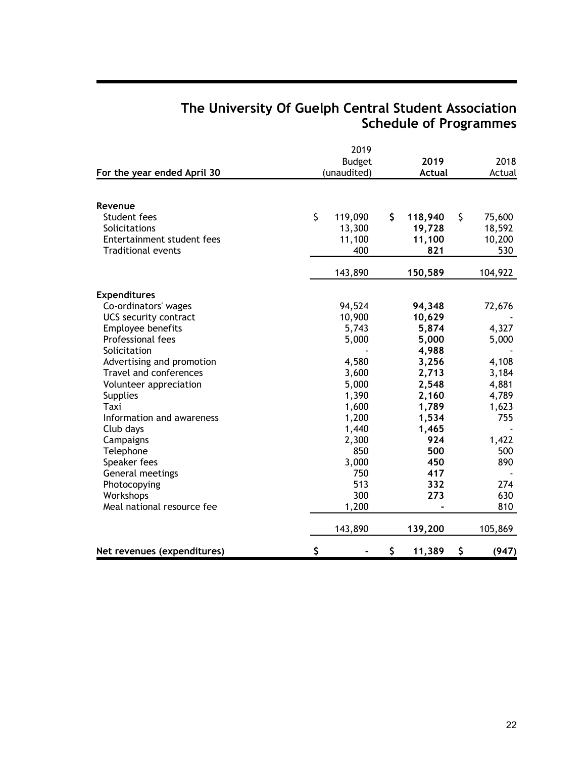## **The University Of Guelph Central Student Association Schedule of Programmes**

|                              | 2019          |               |              |
|------------------------------|---------------|---------------|--------------|
|                              | <b>Budget</b> | 2019          | 2018         |
| For the year ended April 30  | (unaudited)   | <b>Actual</b> | Actual       |
|                              |               |               |              |
| Revenue                      |               |               |              |
| Student fees                 | \$<br>119,090 | \$<br>118,940 | \$<br>75,600 |
| Solicitations                | 13,300        | 19,728        | 18,592       |
| Entertainment student fees   | 11,100        | 11,100        | 10,200       |
| <b>Traditional events</b>    | 400           | 821           | 530          |
|                              | 143,890       | 150,589       | 104,922      |
| <b>Expenditures</b>          |               |               |              |
| Co-ordinators' wages         | 94,524        | 94,348        | 72,676       |
| <b>UCS security contract</b> | 10,900        | 10,629        |              |
| Employee benefits            | 5,743         | 5,874         | 4,327        |
| Professional fees            | 5,000         | 5,000         | 5,000        |
| Solicitation                 |               | 4,988         |              |
| Advertising and promotion    | 4,580         | 3,256         | 4,108        |
| Travel and conferences       | 3,600         | 2,713         | 3,184        |
| Volunteer appreciation       | 5,000         | 2,548         | 4,881        |
| <b>Supplies</b>              | 1,390         | 2,160         | 4,789        |
| Taxi                         | 1,600         | 1,789         | 1,623        |
| Information and awareness    | 1,200         | 1,534         | 755          |
| Club days                    | 1,440         | 1,465         |              |
| Campaigns                    | 2,300         | 924           | 1,422        |
| Telephone                    | 850           | 500           | 500          |
| Speaker fees                 | 3,000         | 450           | 890          |
| General meetings             | 750           | 417           |              |
| Photocopying                 | 513           | 332           | 274          |
| Workshops                    | 300           | 273           | 630          |
| Meal national resource fee   | 1,200         |               | 810          |
|                              | 143,890       | 139,200       | 105,869      |
| Net revenues (expenditures)  | \$            | \$<br>11,389  | \$<br>(947)  |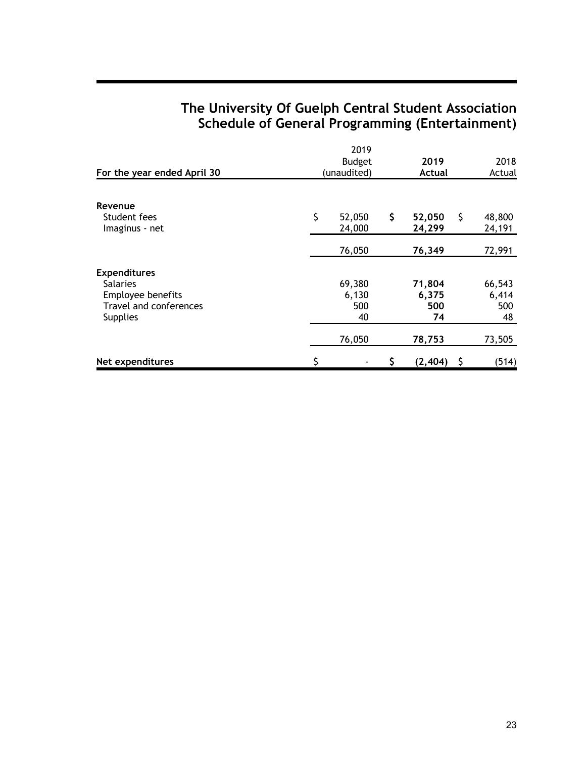# **The University Of Guelph Central Student Association Schedule of General Programming (Entertainment)**

|                             |               | 2019        |    |          |    |        |  |
|-----------------------------|---------------|-------------|----|----------|----|--------|--|
|                             | <b>Budget</b> |             |    | 2019     |    | 2018   |  |
| For the year ended April 30 |               | (unaudited) |    | Actual   |    | Actual |  |
|                             |               |             |    |          |    |        |  |
| Revenue                     |               |             |    |          |    |        |  |
| Student fees                | \$            | 52,050      | \$ | 52,050   | \$ | 48,800 |  |
| Imaginus - net              |               | 24,000      |    | 24,299   |    | 24,191 |  |
|                             |               |             |    |          |    |        |  |
|                             |               | 76,050      |    | 76,349   |    | 72,991 |  |
| <b>Expenditures</b>         |               |             |    |          |    |        |  |
| <b>Salaries</b>             |               | 69,380      |    | 71,804   |    | 66,543 |  |
| Employee benefits           |               | 6,130       |    | 6,375    |    | 6,414  |  |
| Travel and conferences      |               | 500         |    | 500      |    | 500    |  |
| <b>Supplies</b>             |               | 40          |    | 74       |    | 48     |  |
|                             |               | 76,050      |    | 78,753   |    | 73,505 |  |
| Net expenditures            |               |             | \$ | (2, 404) | S  | (514)  |  |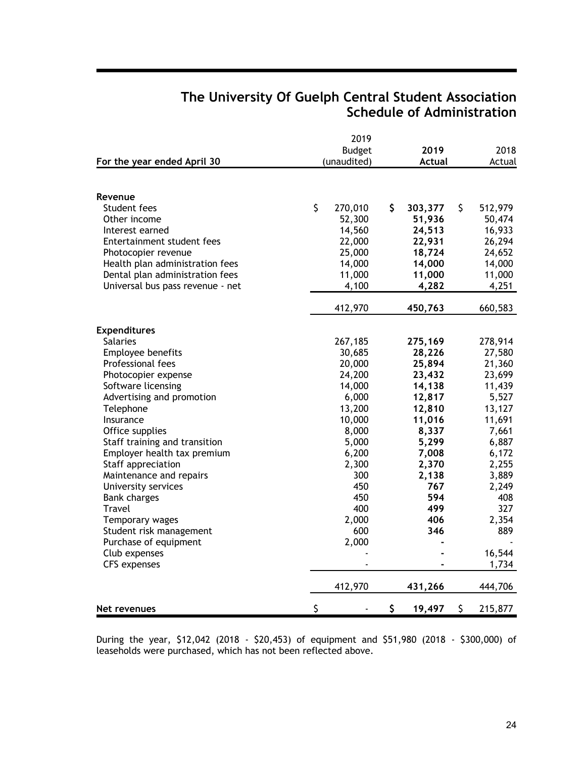# **The University Of Guelph Central Student Association Schedule of Administration**

|                                  | 2019          |               |               |
|----------------------------------|---------------|---------------|---------------|
|                                  | <b>Budget</b> | 2019          | 2018          |
| For the year ended April 30      | (unaudited)   | <b>Actual</b> | Actual        |
| Revenue                          |               |               |               |
| Student fees                     | \$<br>270,010 | \$<br>303,377 | \$<br>512,979 |
| Other income                     | 52,300        | 51,936        | 50,474        |
| Interest earned                  | 14,560        | 24,513        | 16,933        |
| Entertainment student fees       | 22,000        | 22,931        | 26,294        |
| Photocopier revenue              | 25,000        | 18,724        | 24,652        |
| Health plan administration fees  | 14,000        | 14,000        | 14,000        |
| Dental plan administration fees  | 11,000        | 11,000        | 11,000        |
| Universal bus pass revenue - net | 4,100         | 4,282         | 4,251         |
|                                  | 412,970       | 450,763       | 660,583       |
| <b>Expenditures</b>              |               |               |               |
| <b>Salaries</b>                  | 267,185       | 275,169       | 278,914       |
| Employee benefits                | 30,685        | 28,226        | 27,580        |
| Professional fees                | 20,000        | 25,894        | 21,360        |
| Photocopier expense              | 24,200        | 23,432        | 23,699        |
| Software licensing               | 14,000        | 14,138        | 11,439        |
| Advertising and promotion        | 6,000         | 12,817        | 5,527         |
| Telephone                        | 13,200        | 12,810        | 13,127        |
| Insurance                        | 10,000        | 11,016        | 11,691        |
| Office supplies                  | 8,000         | 8,337         | 7,661         |
| Staff training and transition    | 5,000         | 5,299         | 6,887         |
| Employer health tax premium      | 6,200         | 7,008         | 6,172         |
| Staff appreciation               | 2,300         | 2,370         | 2,255         |
| Maintenance and repairs          | 300           | 2,138         | 3,889         |
| University services              | 450           | 767           | 2,249         |
| <b>Bank charges</b>              | 450           | 594           | 408           |
| Travel                           | 400           | 499           | 327           |
| Temporary wages                  | 2,000         | 406           | 2,354         |
| Student risk management          | 600           | 346           | 889           |
| Purchase of equipment            | 2,000         |               |               |
| Club expenses                    |               |               | 16,544        |
| <b>CFS</b> expenses              |               |               | 1,734         |
|                                  | 412,970       | 431,266       | 444,706       |
| Net revenues                     | \$            | \$<br>19,497  | \$<br>215,877 |

During the year, \$12,042 (2018 - \$20,453) of equipment and \$51,980 (2018 - \$300,000) of leaseholds were purchased, which has not been reflected above.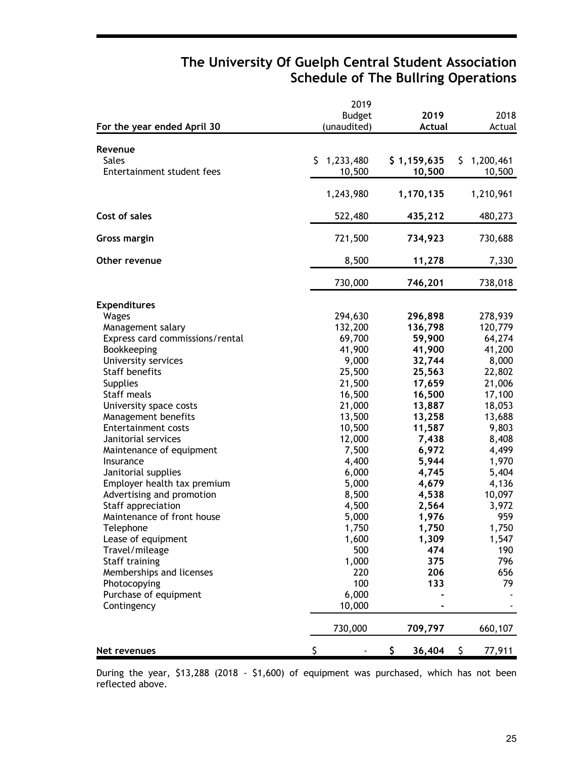## **The University Of Guelph Central Student Association Schedule of The Bullring Operations**

|                                 | 2019            |               |                      |
|---------------------------------|-----------------|---------------|----------------------|
|                                 | <b>Budget</b>   | 2019          | 2018                 |
| For the year ended April 30     | (unaudited)     | <b>Actual</b> | Actual               |
| Revenue                         |                 |               |                      |
| <b>Sales</b>                    | 1,233,480<br>S. | \$1,159,635   | 1,200,461<br>S.      |
| Entertainment student fees      | 10,500          | 10,500        | 10,500               |
|                                 |                 |               |                      |
|                                 | 1,243,980       | 1,170,135     | 1,210,961            |
| Cost of sales                   | 522,480         | 435,212       | 480,273              |
| <b>Gross margin</b>             | 721,500         | 734,923       | 730,688              |
| Other revenue                   | 8,500           | 11,278        | 7,330                |
|                                 | 730,000         | 746,201       | 738,018              |
|                                 |                 |               |                      |
| <b>Expenditures</b><br>Wages    | 294,630         | 296,898       |                      |
| Management salary               | 132,200         | 136,798       | 278,939<br>120,779   |
| Express card commissions/rental | 69,700          | 59,900        | 64,274               |
| Bookkeeping                     | 41,900          | 41,900        | 41,200               |
| University services             | 9,000           | 32,744        | 8,000                |
| <b>Staff benefits</b>           | 25,500          | 25,563        | 22,802               |
|                                 |                 |               |                      |
| <b>Supplies</b>                 | 21,500          | 17,659        | 21,006               |
| Staff meals                     | 16,500          | 16,500        | 17,100               |
| University space costs          | 21,000          | 13,887        | 18,053               |
| Management benefits             | 13,500          | 13,258        | 13,688               |
| <b>Entertainment costs</b>      | 10,500          | 11,587        | 9,803                |
| Janitorial services             | 12,000          | 7,438         | 8,408                |
| Maintenance of equipment        | 7,500           | 6,972         | 4,499                |
| Insurance                       | 4,400           | 5,944         | 1,970                |
| Janitorial supplies             | 6,000           | 4,745         | 5,404                |
| Employer health tax premium     | 5,000           | 4,679         | 4,136                |
| Advertising and promotion       | 8,500           | 4,538         | 10,097               |
| Staff appreciation              | 4,500           | 2,564         | 3,972                |
| Maintenance of front house      | 5,000           | 1,976         | 959                  |
| Telephone                       | 1,750           | 1,750         | 1,750                |
| Lease of equipment              | 1,600           | 1,309         | 1,547                |
| Travel/mileage                  | 500             | 474           | 190                  |
| Staff training                  | 1,000           | 375           | 796                  |
| Memberships and licenses        | 220             | 206           | 656                  |
| Photocopying                    | 100             | 133           | 79                   |
| Purchase of equipment           | 6,000           |               |                      |
| Contingency                     | 10,000          |               |                      |
|                                 | 730,000         | 709,797       | 660,107              |
| Net revenues                    | \$              | \$<br>36,404  | $\sqrt{5}$<br>77,911 |

During the year, \$13,288 (2018 - \$1,600) of equipment was purchased, which has not been reflected above.